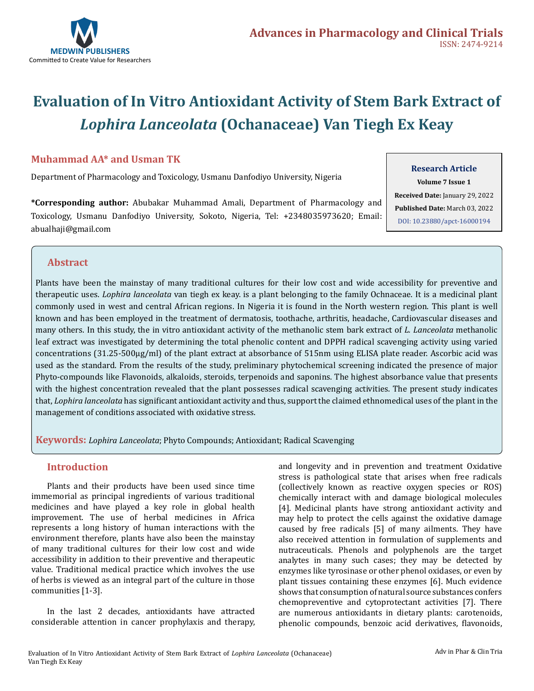

# **Evaluation of In Vitro Antioxidant Activity of Stem Bark Extract of**  *Lophira Lanceolata* **(Ochanaceae) Van Tiegh Ex Keay**

# **Muhammad AA\* and Usman TK**

Department of Pharmacology and Toxicology, Usmanu Danfodiyo University, Nigeria

**\*Corresponding author:** Abubakar Muhammad Amali, Department of Pharmacology and Toxicology, Usmanu Danfodiyo University, Sokoto, Nigeria, Tel: +2348035973620; Email: abualhaji@gmail.com

### **Research Article**

**Volume 7 Issue 1 Received Date:** January 29, 2022 **Published Date:** March 03, 2022 [DOI: 10.23880/apct-16000194](https://doi.org/10.23880/apct-16000194)

# **Abstract**

Plants have been the mainstay of many traditional cultures for their low cost and wide accessibility for preventive and therapeutic uses. *Lophira lanceolata* van tiegh ex keay. is a plant belonging to the family Ochnaceae. It is a medicinal plant commonly used in west and central African regions. In Nigeria it is found in the North western region. This plant is well known and has been employed in the treatment of dermatosis, toothache, arthritis, headache, Cardiovascular diseases and many others. In this study, the in vitro antioxidant activity of the methanolic stem bark extract of *L. Lanceolata* methanolic leaf extract was investigated by determining the total phenolic content and DPPH radical scavenging activity using varied concentrations (31.25-500µg/ml) of the plant extract at absorbance of 515nm using ELISA plate reader. Ascorbic acid was used as the standard. From the results of the study, preliminary phytochemical screening indicated the presence of major Phyto-compounds like Flavonoids, alkaloids, steroids, terpenoids and saponins. The highest absorbance value that presents with the highest concentration revealed that the plant possesses radical scavenging activities. The present study indicates that, *Lophira lanceolata* has significant antioxidant activity and thus, support the claimed ethnomedical uses of the plant in the management of conditions associated with oxidative stress.

**Keywords:** *Lophira Lanceolata*; Phyto Compounds; Antioxidant; Radical Scavenging

# **Introduction**

Plants and their products have been used since time immemorial as principal ingredients of various traditional medicines and have played a key role in global health improvement. The use of herbal medicines in Africa represents a long history of human interactions with the environment therefore, plants have also been the mainstay of many traditional cultures for their low cost and wide accessibility in addition to their preventive and therapeutic value. Traditional medical practice which involves the use of herbs is viewed as an integral part of the culture in those communities [1-3].

In the last 2 decades, antioxidants have attracted considerable attention in cancer prophylaxis and therapy,

and longevity and in prevention and treatment Oxidative stress is pathological state that arises when free radicals (collectively known as reactive oxygen species or ROS) chemically interact with and damage biological molecules [4]. Medicinal plants have strong antioxidant activity and may help to protect the cells against the oxidative damage caused by free radicals [5] of many ailments. They have also received attention in formulation of supplements and nutraceuticals. Phenols and polyphenols are the target analytes in many such cases; they may be detected by enzymes like tyrosinase or other phenol oxidases, or even by plant tissues containing these enzymes [6]. Much evidence shows that consumption of natural source substances confers chemopreventive and cytoprotectant activities [7]. There are numerous antioxidants in dietary plants: carotenoids, phenolic compounds, benzoic acid derivatives, flavonoids,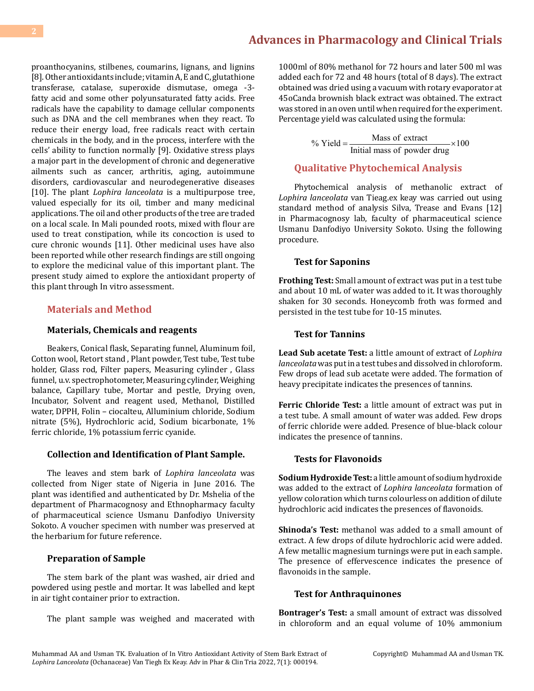proanthocyanins, stilbenes, coumarins, lignans, and lignins [8]. Other antioxidants include; vitamin A, E and C, glutathione transferase, catalase, superoxide dismutase, omega -3 fatty acid and some other polyunsaturated fatty acids. Free radicals have the capability to damage cellular components such as DNA and the cell membranes when they react. To reduce their energy load, free radicals react with certain chemicals in the body, and in the process, interfere with the cells' ability to function normally [9]. Oxidative stress plays a major part in the development of chronic and degenerative ailments such as cancer, arthritis, aging, autoimmune disorders, cardiovascular and neurodegenerative diseases [10]. The plant *Lophira lanceolata* is a multipurpose tree, valued especially for its oil, timber and many medicinal applications. The oil and other products of the tree are traded on a local scale. In Mali pounded roots, mixed with flour are used to treat constipation, while its concoction is used to cure chronic wounds [11]. Other medicinal uses have also been reported while other research findings are still ongoing to explore the medicinal value of this important plant. The present study aimed to explore the antioxidant property of this plant through In vitro assessment.

### **Materials and Method**

#### **Materials, Chemicals and reagents**

Beakers, Conical flask, Separating funnel, Aluminum foil, Cotton wool, Retort stand , Plant powder, Test tube, Test tube holder, Glass rod, Filter papers, Measuring cylinder , Glass funnel, u.v. spectrophotometer, Measuring cylinder, Weighing balance, Capillary tube, Mortar and pestle, Drying oven, Incubator, Solvent and reagent used, Methanol, Distilled water, DPPH, Folin – ciocalteu, Alluminium chloride, Sodium nitrate (5%), Hydrochloric acid, Sodium bicarbonate, 1% ferric chloride, 1% potassium ferric cyanide.

#### **Collection and Identification of Plant Sample.**

The leaves and stem bark of *Lophira lanceolata* was collected from Niger state of Nigeria in June 2016. The plant was identified and authenticated by Dr. Mshelia of the department of Pharmacognosy and Ethnopharmacy faculty of pharmaceutical science Usmanu Danfodiyo University Sokoto. A voucher specimen with number was preserved at the herbarium for future reference.

#### **Preparation of Sample**

The stem bark of the plant was washed, air dried and powdered using pestle and mortar. It was labelled and kept in air tight container prior to extraction.

The plant sample was weighed and macerated with

1000ml of 80% methanol for 72 hours and later 500 ml was added each for 72 and 48 hours (total of 8 days). The extract obtained was dried using a vacuum with rotary evaporator at 45oCanda brownish black extract was obtained. The extract was stored in an oven until when required for the experiment. Percentage yield was calculated using the formula:

% Yield =  $\frac{\text{Mass of extract}}{\text{Initial mass of powder drug}} \times 100$ 

# **Qualitative Phytochemical Analysis**

Phytochemical analysis of methanolic extract of *Lophira lanceolata* van Tieag.ex keay was carried out using standard method of analysis Silva, Trease and Evans [12] in Pharmacognosy lab, faculty of pharmaceutical science Usmanu Danfodiyo University Sokoto. Using the following procedure.

#### **Test for Saponins**

**Frothing Test:** Small amount of extract was put in a test tube and about 10 mL of water was added to it. It was thoroughly shaken for 30 seconds. Honeycomb froth was formed and persisted in the test tube for 10-15 minutes.

#### **Test for Tannins**

**Lead Sub acetate Test:** a little amount of extract of *Lophira lanceolata* was put in a test tubes and dissolved in chloroform. Few drops of lead sub acetate were added. The formation of heavy precipitate indicates the presences of tannins.

**Ferric Chloride Test:** a little amount of extract was put in a test tube. A small amount of water was added. Few drops of ferric chloride were added. Presence of blue-black colour indicates the presence of tannins.

#### **Tests for Flavonoids**

**Sodium Hydroxide Test:** a little amount of sodium hydroxide was added to the extract of *Lophira lanceolata* formation of yellow coloration which turns colourless on addition of dilute hydrochloric acid indicates the presences of flavonoids.

**Shinoda's Test:** methanol was added to a small amount of extract. A few drops of dilute hydrochloric acid were added. A few metallic magnesium turnings were put in each sample. The presence of effervescence indicates the presence of flavonoids in the sample.

#### **Test for Anthraquinones**

**Bontrager's Test:** a small amount of extract was dissolved in chloroform and an equal volume of 10% ammonium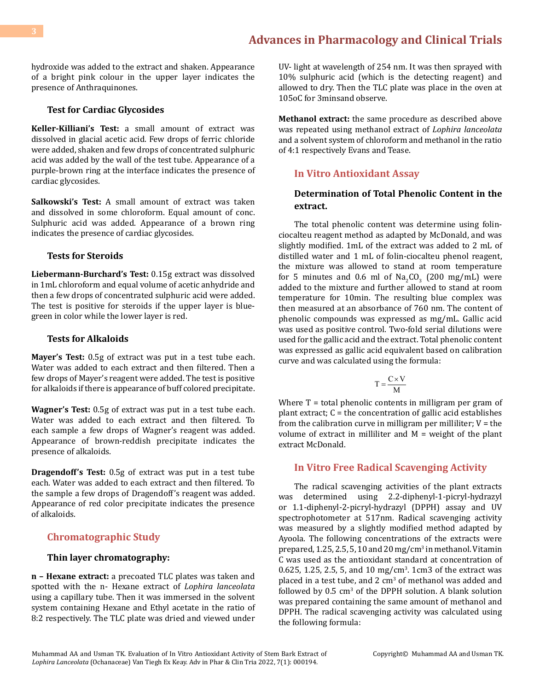hydroxide was added to the extract and shaken. Appearance of a bright pink colour in the upper layer indicates the presence of Anthraquinones.

#### **Test for Cardiac Glycosides**

**Keller-Killiani's Test:** a small amount of extract was dissolved in glacial acetic acid. Few drops of ferric chloride were added, shaken and few drops of concentrated sulphuric acid was added by the wall of the test tube. Appearance of a purple-brown ring at the interface indicates the presence of cardiac glycosides.

**Salkowski's Test:** A small amount of extract was taken and dissolved in some chloroform. Equal amount of conc. Sulphuric acid was added. Appearance of a brown ring indicates the presence of cardiac glycosides.

#### **Tests for Steroids**

**Liebermann-Burchard's Test:** 0.15g extract was dissolved in 1mL chloroform and equal volume of acetic anhydride and then a few drops of concentrated sulphuric acid were added. The test is positive for steroids if the upper layer is bluegreen in color while the lower layer is red.

#### **Tests for Alkaloids**

**Mayer's Test:** 0.5g of extract was put in a test tube each. Water was added to each extract and then filtered. Then a few drops of Mayer's reagent were added. The test is positive for alkaloids if there is appearance of buff colored precipitate.

**Wagner's Test:** 0.5g of extract was put in a test tube each. Water was added to each extract and then filtered. To each sample a few drops of Wagner's reagent was added. Appearance of brown-reddish precipitate indicates the presence of alkaloids.

**Dragendoff's Test:** 0.5g of extract was put in a test tube each. Water was added to each extract and then filtered. To the sample a few drops of Dragendoff's reagent was added. Appearance of red color precipitate indicates the presence of alkaloids.

### **Chromatographic Study**

#### **Thin layer chromatography:**

**n – Hexane extract:** a precoated TLC plates was taken and spotted with the n- Hexane extract of *Lophira lanceolata* using a capillary tube. Then it was immersed in the solvent system containing Hexane and Ethyl acetate in the ratio of 8:2 respectively. The TLC plate was dried and viewed under

UV- light at wavelength of 254 nm. It was then sprayed with 10% sulphuric acid (which is the detecting reagent) and allowed to dry. Then the TLC plate was place in the oven at 105oC for 3minsand observe.

**Methanol extract:** the same procedure as described above was repeated using methanol extract of *Lophira lanceolata* and a solvent system of chloroform and methanol in the ratio of 4:1 respectively Evans and Tease.

#### **In Vitro Antioxidant Assay**

# **Determination of Total Phenolic Content in the extract.**

The total phenolic content was determine using folinciocalteu reagent method as adapted by McDonald, and was slightly modified. 1mL of the extract was added to 2 mL of distilled water and 1 mL of folin-ciocalteu phenol reagent, the mixture was allowed to stand at room temperature for 5 minutes and 0.6 ml of  $\text{Na}_2\text{CO}_3$  (200 mg/mL) were added to the mixture and further allowed to stand at room temperature for 10min. The resulting blue complex was then measured at an absorbance of 760 nm. The content of phenolic compounds was expressed as mg/mL. Gallic acid was used as positive control. Two-fold serial dilutions were used for the gallic acid and the extract. Total phenolic content was expressed as gallic acid equivalent based on calibration curve and was calculated using the formula:

$$
T = \frac{C \times V}{M}
$$

Where  $T =$  total phenolic contents in milligram per gram of plant extract; C = the concentration of gallic acid establishes from the calibration curve in milligram per milliliter;  $V =$  the volume of extract in milliliter and  $M =$  weight of the plant extract McDonald.

### **In Vitro Free Radical Scavenging Activity**

The radical scavenging activities of the plant extracts was determined using 2.2-diphenyl-1-picryl-hydrazyl or 1.1-diphenyl-2-picryl-hydrazyl (DPPH) assay and UV spectrophotometer at 517nm. Radical scavenging activity was measured by a slightly modified method adapted by Ayoola. The following concentrations of the extracts were prepared, 1.25, 2.5, 5, 10 and 20 mg/cm<sup>3</sup> in methanol. Vitamin C was used as the antioxidant standard at concentration of 0.625, 1.25, 2.5, 5, and 10 mg/cm<sup>3</sup>. 1cm3 of the extract was placed in a test tube, and 2 cm<sup>3</sup> of methanol was added and followed by  $0.5 \text{ cm}^3$  of the DPPH solution. A blank solution was prepared containing the same amount of methanol and DPPH. The radical scavenging activity was calculated using the following formula: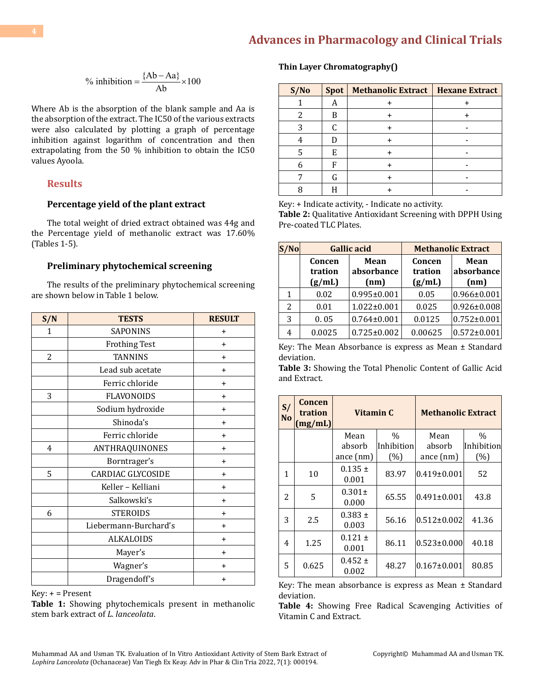<sup>9</sup><sub>0</sub> inhibition = 
$$
\frac{\{Ab - Aa\}}{Ab} \times 100
$$

Where Ab is the absorption of the blank sample and Aa is the absorption of the extract. The IC50 of the various extracts were also calculated by plotting a graph of percentage inhibition against logarithm of concentration and then extrapolating from the 50 % inhibition to obtain the IC50 values Ayoola.

#### **Results**

#### **Percentage yield of the plant extract**

The total weight of dried extract obtained was 44g and the Percentage yield of methanolic extract was 17.60% (Tables 1-5).

#### **Preliminary phytochemical screening**

The results of the preliminary phytochemical screening are shown below in Table 1 below.

| S/N          | <b>TESTS</b>                      | <b>RESULT</b> |  |
|--------------|-----------------------------------|---------------|--|
| 1            | SAPONINS                          | $\ddot{}$     |  |
|              | <b>Frothing Test</b><br>$\ddot{}$ |               |  |
| $\mathbf{2}$ | <b>TANNINS</b>                    | $\ddot{}$     |  |
|              | Lead sub acetate<br>$\ddot{}$     |               |  |
|              | Ferric chloride                   | $\ddot{}$     |  |
| 3            | <b>FLAVONOIDS</b>                 | $\ddot{}$     |  |
|              | Sodium hydroxide<br>$\ddot{}$     |               |  |
|              | Shinoda's                         | $\ddot{}$     |  |
|              | Ferric chloride                   | $\ddot{}$     |  |
| 4            | ANTHRAQUINONES                    | $\ddot{}$     |  |
|              | Borntrager's                      | $\ddot{}$     |  |
| 5            | CARDIAC GLYCOSIDE                 | $\ddot{}$     |  |
|              | Keller - Kelliani<br>$\ddot{}$    |               |  |
|              | Salkowski's                       | $\ddot{}$     |  |
| 6            | <b>STEROIDS</b>                   | $\ddot{}$     |  |
|              | Liebermann-Burchard's             | $\ddot{}$     |  |
|              | <b>ALKALOIDS</b>                  | $\ddot{}$     |  |
|              | Mayer's                           | $\ddot{}$     |  |
|              | Wagner's                          | +             |  |
|              | Dragendoff's                      | +             |  |

 $Key: + = Present$ 

**Table 1:** Showing phytochemicals present in methanolic stem bark extract of *L. lanceolata*.

#### **Thin Layer Chromatography()**

| S/No | Spot | Methanolic Extract   Hexane Extract |  |
|------|------|-------------------------------------|--|
|      | А    |                                     |  |
|      | R    |                                     |  |
|      |      |                                     |  |
|      |      |                                     |  |
|      | E    |                                     |  |
|      | F    |                                     |  |
|      | G    |                                     |  |
|      |      |                                     |  |

Key: + Indicate activity, - Indicate no activity.

**Table 2:** Qualitative Antioxidant Screening with DPPH Using Pre-coated TLC Plates.

| 'Nol | <b>Gallic acid</b>          |                            | <b>Methanolic Extract</b>   |                            |
|------|-----------------------------|----------------------------|-----------------------------|----------------------------|
|      | Concen<br>tration<br>(g/mL) | Mean<br>absorbance<br>(nm) | Concen<br>tration<br>(g/mL) | Mean<br>absorbance<br>(nm) |
| 1    | 0.02                        | $0.995 \pm 0.001$          | 0.05                        | $0.966 \pm 0.001$          |
| 2    | 0.01                        | $1.022 \pm 0.001$          | 0.025                       | $0.926 \pm 0.008$          |
| 3    | 0.05                        | $0.764 \pm 0.001$          | 0.0125                      | $0.752 \pm 0.001$          |
| 4    | 0.0025                      | $0.725 \pm 0.002$          | 0.00625                     | $0.572 \pm 0.001$          |

Key: The Mean Absorbance is express as Mean ± Standard deviation.

**Table 3:** Showing the Total Phenolic Content of Gallic Acid and Extract.

| S/<br><b>No</b> | Concen<br>tration<br>(mg/mL) | Vitamin C            |            | <b>Methanolic Extract</b> |               |
|-----------------|------------------------------|----------------------|------------|---------------------------|---------------|
|                 |                              | Mean                 | $\%$       | Mean                      | $\frac{0}{0}$ |
|                 |                              | absorb               | Inhibition | absorb                    | Inhibition    |
|                 |                              | ance (nm)            | (%)        | ance $(nm)$               | (%)           |
| 1               | 10                           | $0.135 \pm$<br>0.001 | 83.97      | $0.419 \pm 0.001$         | 52            |
| 2               | 5                            | $0.301 \pm$<br>0.000 | 65.55      | $0.491 \pm 0.001$         | 43.8          |
| 3               | 2.5                          | $0.383 \pm$<br>0.003 | 56.16      | $0.512 \pm 0.002$         | 41.36         |
| 4               | 1.25                         | $0.121 \pm$<br>0.001 | 86.11      | $ 0.523 \pm 0.000 $       | 40.18         |
| 5               | 0.625                        | $0.452 \pm$<br>0.002 | 48.27      | $ 0.167 \pm 0.001$        | 80.85         |

Key: The mean absorbance is express as Mean ± Standard deviation.

**Table 4:** Showing Free Radical Scavenging Activities of Vitamin C and Extract.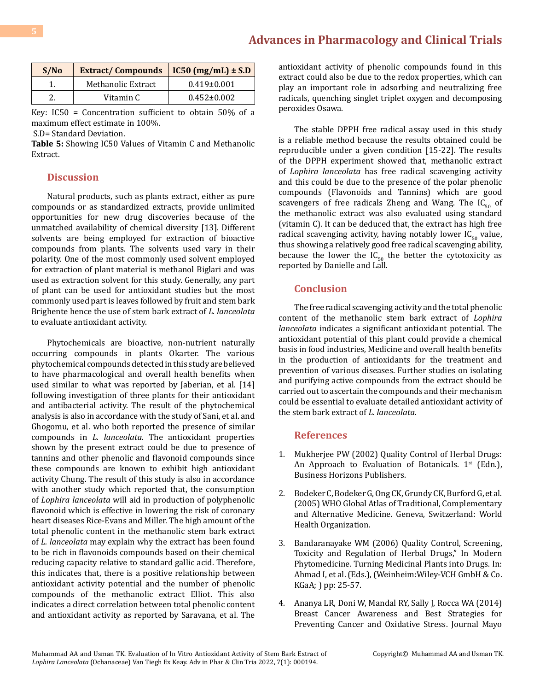| S/No | <b>Extract/Compounds</b> | $IC50 (mg/mL) \pm S.D$ |
|------|--------------------------|------------------------|
|      | Methanolic Extract       | $0.419 \pm 0.001$      |
|      | Vitamin C                | $0.452 \pm 0.002$      |

Key: IC50 = Concentration sufficient to obtain 50% of a maximum effect estimate in 100%.

S.D= Standard Deviation.

**Table 5:** Showing IC50 Values of Vitamin C and Methanolic Extract.

### **Discussion**

Natural products, such as plants extract, either as pure compounds or as standardized extracts, provide unlimited opportunities for new drug discoveries because of the unmatched availability of chemical diversity [13]. Different solvents are being employed for extraction of bioactive compounds from plants. The solvents used vary in their polarity. One of the most commonly used solvent employed for extraction of plant material is methanol Biglari and was used as extraction solvent for this study. Generally, any part of plant can be used for antioxidant studies but the most commonly used part is leaves followed by fruit and stem bark Brighente hence the use of stem bark extract of *L. lanceolata* to evaluate antioxidant activity.

Phytochemicals are bioactive, non-nutrient naturally occurring compounds in plants Okarter. The various phytochemical compounds detected in this study are believed to have pharmacological and overall health benefits when used similar to what was reported by Jaberian, et al. [14] following investigation of three plants for their antioxidant and antibacterial activity. The result of the phytochemical analysis is also in accordance with the study of Sani, et al. and Ghogomu, et al. who both reported the presence of similar compounds in *L. lanceolata*. The antioxidant properties shown by the present extract could be due to presence of tannins and other phenolic and flavonoid compounds since these compounds are known to exhibit high antioxidant activity Chung. The result of this study is also in accordance with another study which reported that, the consumption of *Lophira lanceolata* will aid in production of polyphenolic flavonoid which is effective in lowering the risk of coronary heart diseases Rice-Evans and Miller. The high amount of the total phenolic content in the methanolic stem bark extract of *L. lanceolata* may explain why the extract has been found to be rich in flavonoids compounds based on their chemical reducing capacity relative to standard gallic acid. Therefore, this indicates that, there is a positive relationship between antioxidant activity potential and the number of phenolic compounds of the methanolic extract Elliot. This also indicates a direct correlation between total phenolic content and antioxidant activity as reported by Saravana, et al. The

antioxidant activity of phenolic compounds found in this extract could also be due to the redox properties, which can play an important role in adsorbing and neutralizing free radicals, quenching singlet triplet oxygen and decomposing peroxides Osawa.

The stable DPPH free radical assay used in this study is a reliable method because the results obtained could be reproducible under a given condition [15-22]. The results of the DPPH experiment showed that, methanolic extract of *Lophira lanceolata* has free radical scavenging activity and this could be due to the presence of the polar phenolic compounds (Flavonoids and Tannins) which are good scavengers of free radicals Zheng and Wang. The  $IC_{50}$  of the methanolic extract was also evaluated using standard (vitamin C). It can be deduced that, the extract has high free radical scavenging activity, having notably lower  $IC_{50}$  value, thus showing a relatively good free radical scavenging ability, because the lower the  $IC_{50}$  the better the cytotoxicity as reported by Danielle and Lall.

# **Conclusion**

The free radical scavenging activity and the total phenolic content of the methanolic stem bark extract of *Lophira lanceolata* indicates a significant antioxidant potential. The antioxidant potential of this plant could provide a chemical basis in food industries, Medicine and overall health benefits in the production of antioxidants for the treatment and prevention of various diseases. Further studies on isolating and purifying active compounds from the extract should be carried out to ascertain the compounds and their mechanism could be essential to evaluate detailed antioxidant activity of the stem bark extract of *L. lanceolata*.

#### **References**

- 1. [Mukherjee PW \(2002\) Quality Control of Herbal Drugs:](https://www.worldcat.org/title/quality-control-of-herbal-drugs-an-approach-to-evaluation-of-botanicals/oclc/49796882) An Approach to Evaluation of Botanicals.  $1<sup>st</sup>$  (Edn.), [Business Horizons Publishers.](https://www.worldcat.org/title/quality-control-of-herbal-drugs-an-approach-to-evaluation-of-botanicals/oclc/49796882)
- 2. [Bodeker C, Bodeker G, Ong CK, Grundy CK, Burford G, et al.](https://apps.who.int/iris/handle/10665/43108)  [\(2005\) WHO Global Atlas of Traditional, Complementary](https://apps.who.int/iris/handle/10665/43108)  [and Alternative Medicine. Geneva, Switzerland: World](https://apps.who.int/iris/handle/10665/43108)  [Health Organization.](https://apps.who.int/iris/handle/10665/43108)
- 3. Bandaranayake WM (2006) Quality Control, Screening, Toxicity and Regulation of Herbal Drugs," In Modern Phytomedicine. Turning Medicinal Plants into Drugs. In: Ahmad I, et al. (Eds.), (Weinheim:Wiley-VCH GmbH & Co. KGaA; ) pp: 25-57.
- 4. Ananya LR, Doni W, Mandal RY, Sally J, Rocca WA (2014) Breast Cancer Awareness and Best Strategies for Preventing Cancer and Oxidative Stress. Journal Mayo